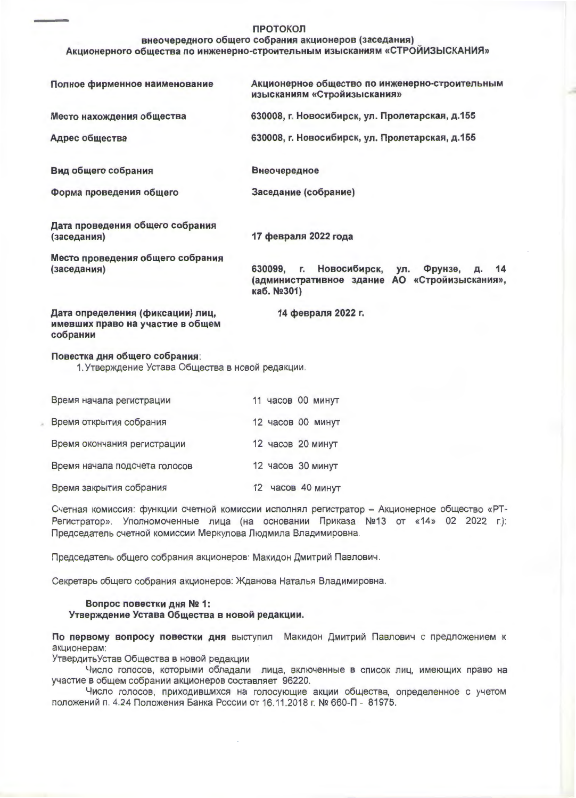## ПРОТОКОЛ

внеочередного общего собрания акционеров (заседания) Акционерного общества по инженерно-строительным изысканиям «СТРОЙИЗЫСКАНИЯ»

| Полное фирменное наименование                                                     | Акционерное общество по инженерно-строительным<br>изысканиям «Стройизыскания»                                              |  |
|-----------------------------------------------------------------------------------|----------------------------------------------------------------------------------------------------------------------------|--|
| Место нахождения общества                                                         | 630008, г. Новосибирск, ул. Пролетарская, д.155                                                                            |  |
| Адрес общества                                                                    | 630008, г. Новосибирск, ул. Пролетарская, д.155                                                                            |  |
| Вид общего собрания                                                               | Внеочередное                                                                                                               |  |
| Форма проведения общего                                                           | Заседание (собрание)                                                                                                       |  |
| Дата проведения общего собрания<br>(заседания)                                    | 17 февраля 2022 года                                                                                                       |  |
| Место проведения общего собрания                                                  |                                                                                                                            |  |
| (заседания)                                                                       | Новосибирск,<br>630099.<br>ул.<br>E.<br>Фрунзе,<br>14<br>Д.<br>(административное здание АО «Стройизыскания»,<br>каб. №301) |  |
| Дата определения (фиксации) лиц,<br>имевших право на участие в общем<br>собрании  | 14 февраля 2022 г.                                                                                                         |  |
| Повестка дня общего собрания:<br>1. Утверждение Устава Общества в новой редакции. |                                                                                                                            |  |
|                                                                                   |                                                                                                                            |  |

| Время начала регистрации      | 11 часов 00 минут |
|-------------------------------|-------------------|
| Время открытия собрания       | 12 часов 00 минут |
| Время окончания регистрации   | 12 часов 20 минут |
| Время начала подсчета голосов | 12 часов 30 минут |
| Время закрытия собрания       | 12 часов 40 минут |

Счетная комиссия: функции счетной комиссии исполнял регистратор - Акционерное общество «РТ-Регистратор». Уполномоченные лица (на основании Приказа №13 от «14» 02 2022 г.): Председатель счетной комиссии Меркулова Людмила Владимировна.

Председатель общего собрания акционеров: Макидон Дмитрий Павлович.

Секретарь общего собрания акционеров: Жданова Наталья Владимировна.

## Вопрос повестки дня № 1: Утверждение Устава Общества в новой редакции.

По первому вопросу повестки дня выступил Макидон Дмитрий Павлович с предложением к акционерам:

Утвердить Устав Общества в новой редакции

Число голосов, которыми обладали лица, включенные в список лиц, имеющих право на участие в общем собрании акционеров составляет 96220.

Число голосов, приходившихся на голосующие акции общества, определенное с учетом положений п. 4.24 Положения Банка России от 16.11.2018 г. № 660-П - 81975.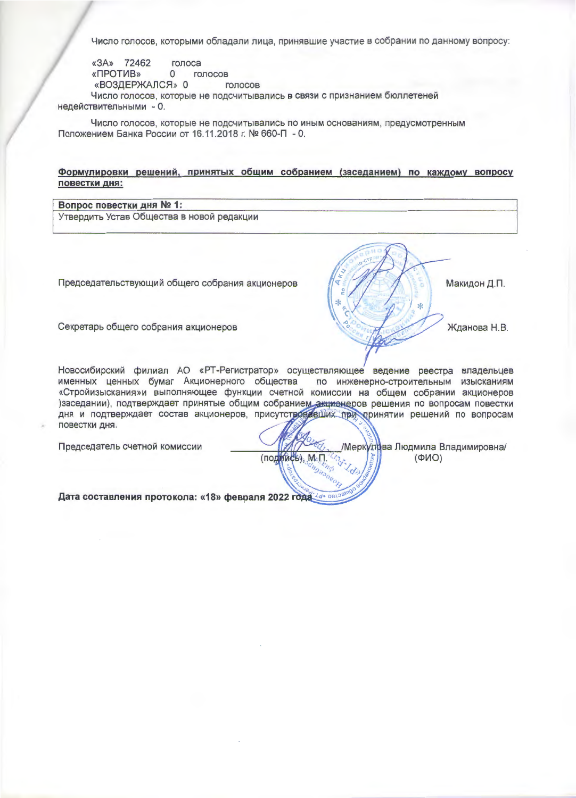Число голосов, которыми обладали лица, принявшие участие в собрании по данному вопросу:

«3A» 72462 голоса «ПРОТИВ» 0 голосов «ВОЗДЕРЖАЛСЯ» 0 ГОЛОСОВ

Число голосов, которые не подсчитывались в связи с признанием бюллетеней недействительными - 0.

Число голосов, которые не подсчитывались по иным основаниям, предусмотренным Положением Банка России от 16.11.2018 г. № 660-П - 0.

## Формулировки решений, принятых общим собранием (заседанием) по каждому вопросу повестки дня:

Вопрос повестки дня № 1: Утвердить Устав Общества в новой редакции

Председательствующий общего собрания акционеров

Секретарь общего собрания акционеров

Новосибирский филиал AO «РТ-Регистратор» осуществляющее ведение реестра владельцев именных ценных бумаг Акционерного общества по инженерно-строительным изысканиям «Стройизыскания»и выполняющее функции счетной комиссии на общем собрании акционеров )заседании), подтверждает принятые общим собранием экционеров решения по вопросам повестки дня и подтверждает состав акционеров, присутствовавших при оринятии решений по вопросам повестки дня.

(подпись), М.П.

HOH<sub>3</sub>  $\eta_{th}$ 

Председатель счетной комиссии

Меркулива Людмила Владимировна/  $(OMO)$ 

Макидон Д.П.

Жданова Н.В.

Дата составления протокола: «18» февраля 2022 года 14 081